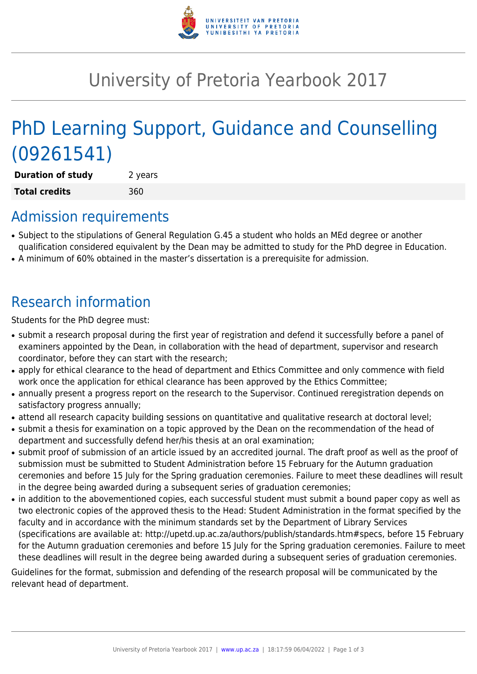

# University of Pretoria Yearbook 2017

# PhD Learning Support, Guidance and Counselling (09261541)

**Duration of study** 2 years **Total credits** 360

### Admission requirements

- Subject to the stipulations of General Regulation G.45 a student who holds an MEd degree or another qualification considered equivalent by the Dean may be admitted to study for the PhD degree in Education.
- A minimum of 60% obtained in the master's dissertation is a prerequisite for admission.

## Research information

Students for the PhD degree must:

- submit a research proposal during the first year of registration and defend it successfully before a panel of examiners appointed by the Dean, in collaboration with the head of department, supervisor and research coordinator, before they can start with the research;
- apply for ethical clearance to the head of department and Ethics Committee and only commence with field work once the application for ethical clearance has been approved by the Ethics Committee;
- annually present a progress report on the research to the Supervisor. Continued reregistration depends on satisfactory progress annually;
- attend all research capacity building sessions on quantitative and qualitative research at doctoral level;
- submit a thesis for examination on a topic approved by the Dean on the recommendation of the head of department and successfully defend her/his thesis at an oral examination;
- submit proof of submission of an article issued by an accredited journal. The draft proof as well as the proof of submission must be submitted to Student Administration before 15 February for the Autumn graduation ceremonies and before 15 July for the Spring graduation ceremonies. Failure to meet these deadlines will result in the degree being awarded during a subsequent series of graduation ceremonies;
- in addition to the abovementioned copies, each successful student must submit a bound paper copy as well as two electronic copies of the approved thesis to the Head: Student Administration in the format specified by the faculty and in accordance with the minimum standards set by the Department of Library Services (specifications are available at: http://upetd.up.ac.za/authors/publish/standards.htm#specs, before 15 February for the Autumn graduation ceremonies and before 15 July for the Spring graduation ceremonies. Failure to meet these deadlines will result in the degree being awarded during a subsequent series of graduation ceremonies.

Guidelines for the format, submission and defending of the research proposal will be communicated by the relevant head of department.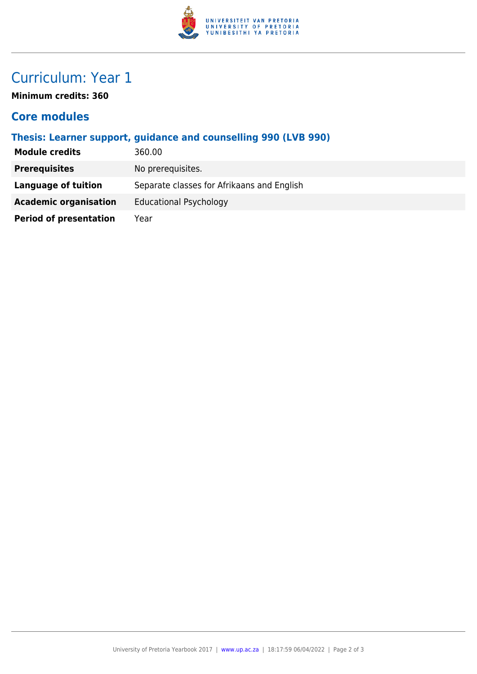

## Curriculum: Year 1

**Minimum credits: 360**

#### **Core modules**

| Thesis: Learner support, guidance and counselling 990 (LVB 990) |                                            |
|-----------------------------------------------------------------|--------------------------------------------|
| <b>Module credits</b>                                           | 360.00                                     |
| <b>Prerequisites</b>                                            | No prerequisites.                          |
| Language of tuition                                             | Separate classes for Afrikaans and English |
| <b>Academic organisation</b>                                    | <b>Educational Psychology</b>              |
| <b>Period of presentation</b>                                   | Year                                       |